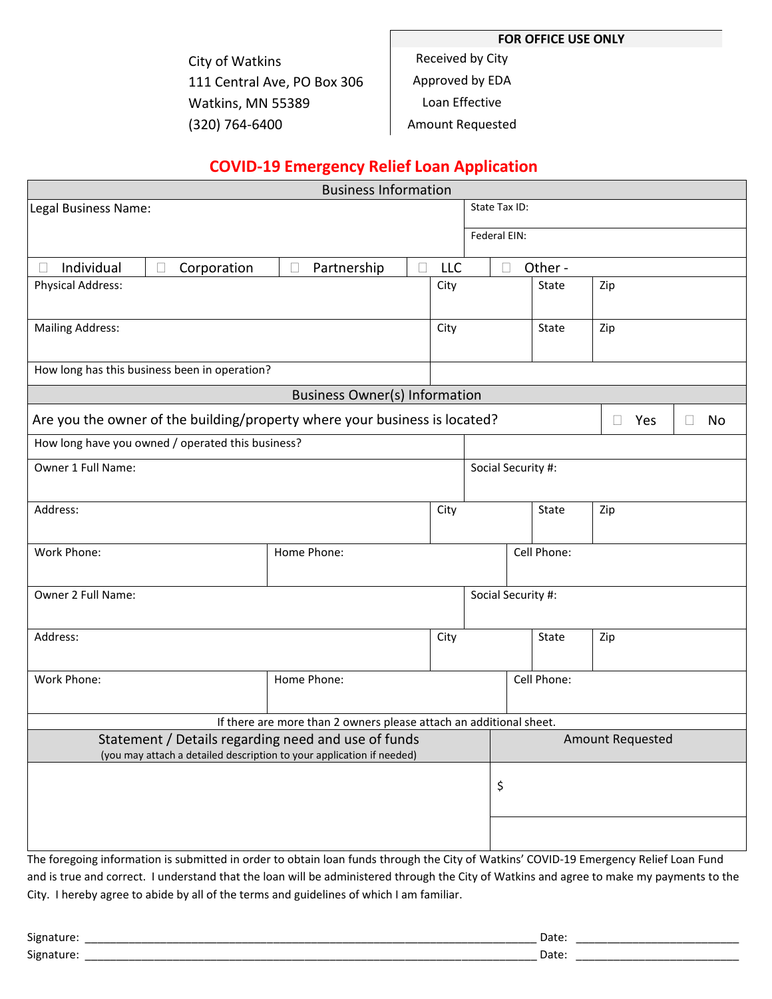**FOR OFFICE USE ONLY**

City of Watkins 111 Central Ave, PO Box 306 Watkins, MN 55389 (320) 764-6400

Received by City

Approved by EDA

Loan Effective

Amount Requested

# **COVID-19 Emergency Relief Loan Application**

| <b>Business Information</b>                                                                                                           |                  |                                                                    |               |             |                    |                               |         |     |  |  |
|---------------------------------------------------------------------------------------------------------------------------------------|------------------|--------------------------------------------------------------------|---------------|-------------|--------------------|-------------------------------|---------|-----|--|--|
| Legal Business Name:                                                                                                                  |                  |                                                                    |               |             | State Tax ID:      |                               |         |     |  |  |
|                                                                                                                                       |                  |                                                                    |               |             | Federal EIN:       |                               |         |     |  |  |
| Individual                                                                                                                            | Corporation<br>П | Partnership                                                        | П             | LLC         |                    |                               | Other - |     |  |  |
| <b>Physical Address:</b>                                                                                                              |                  |                                                                    |               |             |                    | State<br>Zip                  |         |     |  |  |
| <b>Mailing Address:</b>                                                                                                               |                  |                                                                    |               |             | State              |                               |         | Zip |  |  |
| How long has this business been in operation?                                                                                         |                  |                                                                    |               |             |                    |                               |         |     |  |  |
| <b>Business Owner(s) Information</b>                                                                                                  |                  |                                                                    |               |             |                    |                               |         |     |  |  |
| Are you the owner of the building/property where your business is located?                                                            |                  |                                                                    |               |             |                    | Yes<br>No<br>$\Box$<br>$\Box$ |         |     |  |  |
| How long have you owned / operated this business?                                                                                     |                  |                                                                    |               |             |                    |                               |         |     |  |  |
| Owner 1 Full Name:                                                                                                                    |                  |                                                                    |               |             | Social Security #: |                               |         |     |  |  |
| Address:                                                                                                                              |                  |                                                                    |               | City        | State              |                               |         | Zip |  |  |
| Work Phone:<br>Home Phone:                                                                                                            |                  |                                                                    |               |             | Cell Phone:        |                               |         |     |  |  |
| Owner 2 Full Name:                                                                                                                    |                  |                                                                    |               |             | Social Security #: |                               |         |     |  |  |
| Address:                                                                                                                              |                  |                                                                    | City<br>State |             |                    |                               | Zip     |     |  |  |
| Work Phone:                                                                                                                           | Home Phone:      |                                                                    |               | Cell Phone: |                    |                               |         |     |  |  |
|                                                                                                                                       |                  | If there are more than 2 owners please attach an additional sheet. |               |             |                    |                               |         |     |  |  |
| Statement / Details regarding need and use of funds<br>(you may attach a detailed description to your application if needed)          |                  |                                                                    |               |             |                    | <b>Amount Requested</b>       |         |     |  |  |
|                                                                                                                                       |                  |                                                                    |               |             | \$                 |                               |         |     |  |  |
|                                                                                                                                       |                  |                                                                    |               |             |                    |                               |         |     |  |  |
| The foregoing information is submitted in order to obtain loan funds through the City of Watkins' COVID-19 Emergency Relief Loan Fund |                  |                                                                    |               |             |                    |                               |         |     |  |  |

and is true and correct. I understand that the loan will be administered through the City of Watkins and agree to make my payments to the City. I hereby agree to abide by all of the terms and guidelines of which I am familiar.

| $\sim$<br>וסו<br>____________<br>___________ | Date<br>______________<br>____<br>____________<br>___________<br>___________<br>___________ |
|----------------------------------------------|---------------------------------------------------------------------------------------------|
| $\sim$<br>וסו><br>▗                          | Dalc<br>______<br>_____<br>___________                                                      |